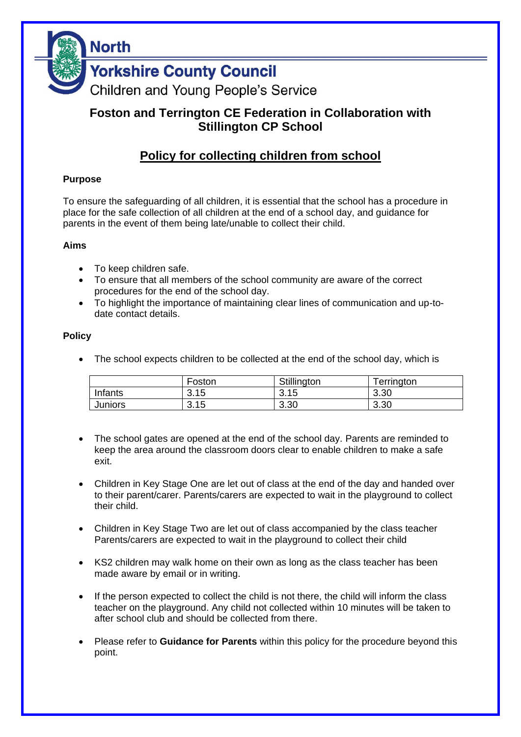

# **Foston and Terrington CE Federation in Collaboration with Stillington CP School**

# **Policy for collecting children from school**

### **Purpose**

To ensure the safeguarding of all children, it is essential that the school has a procedure in place for the safe collection of all children at the end of a school day, and guidance for parents in the event of them being late/unable to collect their child.

#### **Aims**

- To keep children safe.
- To ensure that all members of the school community are aware of the correct procedures for the end of the school day.
- To highlight the importance of maintaining clear lines of communication and up-todate contact details.

#### **Policy**

• The school expects children to be collected at the end of the school day, which is

|                | Foston | Stillington | <sup>-</sup> errington |
|----------------|--------|-------------|------------------------|
| Infants        | 3.15   | 3.15        | 3.30                   |
| <b>Juniors</b> | 3.15   | 3.30        | 3.30                   |

- The school gates are opened at the end of the school day. Parents are reminded to keep the area around the classroom doors clear to enable children to make a safe exit.
- Children in Key Stage One are let out of class at the end of the day and handed over to their parent/carer. Parents/carers are expected to wait in the playground to collect their child.
- Children in Key Stage Two are let out of class accompanied by the class teacher Parents/carers are expected to wait in the playground to collect their child
- KS2 children may walk home on their own as long as the class teacher has been made aware by email or in writing.
- If the person expected to collect the child is not there, the child will inform the class teacher on the playground. Any child not collected within 10 minutes will be taken to after school club and should be collected from there.
- Please refer to **Guidance for Parents** within this policy for the procedure beyond this point.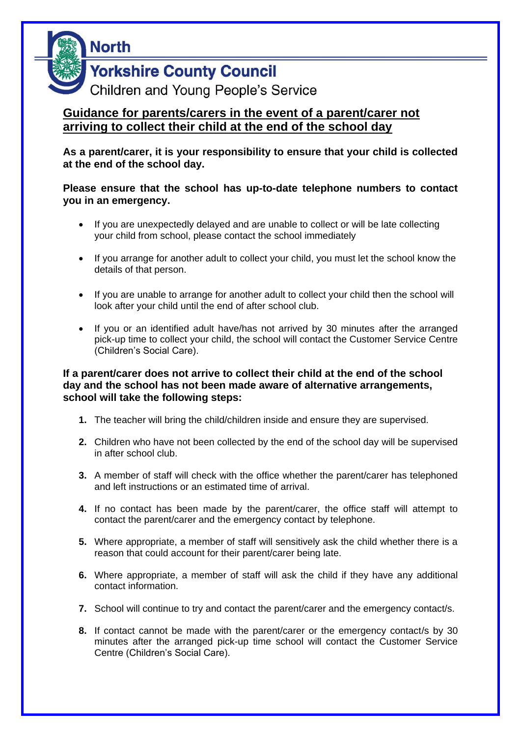

**Yorkshire County Council** 

Children and Young People's Service

## **Guidance for parents/carers in the event of a parent/carer not arriving to collect their child at the end of the school day**

**As a parent/carer, it is your responsibility to ensure that your child is collected at the end of the school day.**

**Please ensure that the school has up-to-date telephone numbers to contact you in an emergency.** 

- If you are unexpectedly delayed and are unable to collect or will be late collecting your child from school, please contact the school immediately
- If you arrange for another adult to collect your child, you must let the school know the details of that person.
- If you are unable to arrange for another adult to collect your child then the school will look after your child until the end of after school club.
- If you or an identified adult have/has not arrived by 30 minutes after the arranged pick-up time to collect your child, the school will contact the Customer Service Centre (Children's Social Care).

### **If a parent/carer does not arrive to collect their child at the end of the school day and the school has not been made aware of alternative arrangements, school will take the following steps:**

- **1.** The teacher will bring the child/children inside and ensure they are supervised.
- **2.** Children who have not been collected by the end of the school day will be supervised in after school club.
- **3.** A member of staff will check with the office whether the parent/carer has telephoned and left instructions or an estimated time of arrival.
- **4.** If no contact has been made by the parent/carer, the office staff will attempt to contact the parent/carer and the emergency contact by telephone.
- **5.** Where appropriate, a member of staff will sensitively ask the child whether there is a reason that could account for their parent/carer being late.
- **6.** Where appropriate, a member of staff will ask the child if they have any additional contact information.
- **7.** School will continue to try and contact the parent/carer and the emergency contact/s.
- **8.** If contact cannot be made with the parent/carer or the emergency contact/s by 30 minutes after the arranged pick-up time school will contact the Customer Service Centre (Children's Social Care).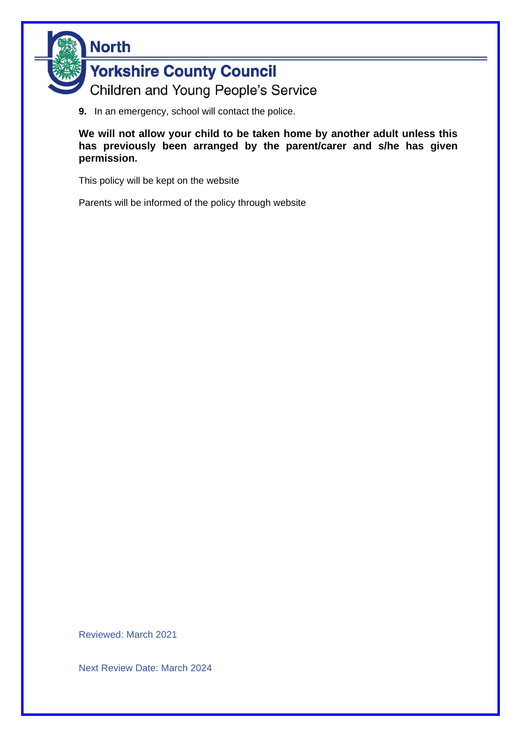

**9.** In an emergency, school will contact the police.

**We will not allow your child to be taken home by another adult unless this has previously been arranged by the parent/carer and s/he has given permission.**

This policy will be kept on the website

Parents will be informed of the policy through website

Reviewed: March 2021

Next Review Date: March 2024